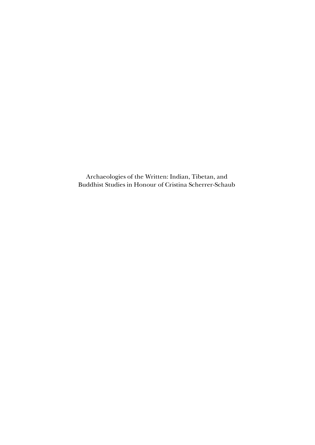Archaeologies of the Written: Indian, Tibetan, and Buddhist Studies in Honour of Cristina Scherrer-Schaub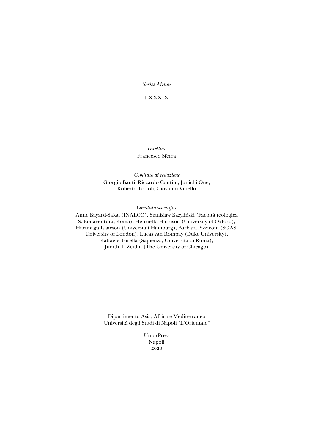*Series Minor*

## LXXXIX

*Direttore* Francesco Sferra

*Comitato di redazione* Giorgio Banti, Riccardo Contini, Junichi Oue, Roberto Tottoli, Giovanni Vitiello

*Comitato scientifico*

Anne Bayard-Sakai (INALCO), Stanisław Bazyliński (Facoltà teologica S. Bonaventura, Roma), Henrietta Harrison (University of Oxford), Harunaga Isaacson (Universität Hamburg), Barbara Pizziconi (SOAS, University of London), Lucas van Rompay (Duke University), Raffaele Torella (Sapienza, Università di Roma), Judith T. Zeitlin (The University of Chicago)

> Dipartimento Asia, Africa e Mediterraneo Università degli Studi di Napoli "L'Orientale"

> > UniorPress Napoli 2020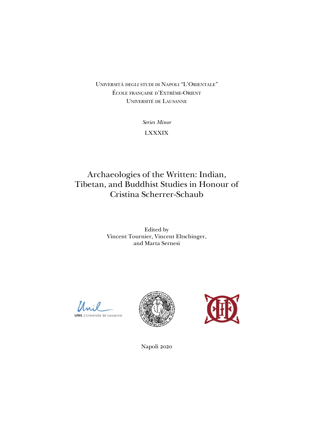UNIVERSITÁ DEGLI STUDI DI NAPOLI "L'ORIENTALE" ÉCOLE FRANÇAISE D'EXTRÊME-ORIENT UNIVERSITÉ DE LAUSANNE

> *Series Minor* LXXXIX

## Archaeologies of the Written: Indian, Tibetan, and Buddhist Studies in Honour of Cristina Scherrer-Schaub

Edited by Vincent Tournier, Vincent Eltschinger, and Marta Sernesi

Unil UNIL | Université de Lausanne





Napoli 2020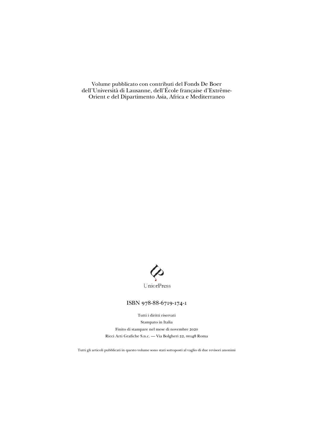Volume pubblicato con contributi del Fonds De Boer dell'Università di Lausanne, dell'École française d'Extrême-Orient e del Dipartimento Asia, Africa e Mediterraneo



#### ISBN 978-88-6719-174-1

Tutti i diritti riservati Stampato in Italia Finito di stampare nel mese di novembre 2020 Ricci Arti Grafiche S.n.c. – Via Bolgheri 22, 00148 Roma

Tutti gli articoli pubblicati in questo volume sono stati sottoposti al vaglio di due revisori anonimi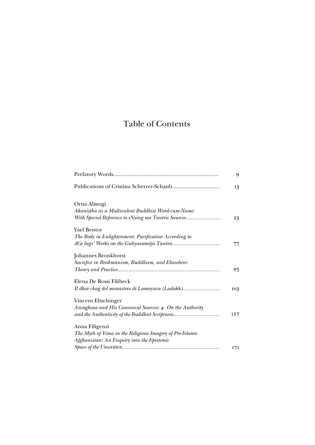# Table of Contents

|                                                                                                                                    | 9   |
|------------------------------------------------------------------------------------------------------------------------------------|-----|
|                                                                                                                                    | 13  |
| Orna Almogi<br>Akanistha as a Multivalent Buddhist Word-cum-Name:<br>With Special Reference to rNying ma Tantric Sources           | 23  |
| <b>Yael Bentor</b><br>The Body in Enlightenment: Purification According to                                                         | 77  |
| Johannes Bronkhorst<br>Sacrifice in Brahmanism, Buddhism, and Elsewhere:                                                           | 95  |
| Elena De Rossi Filibeck<br>Il dkar chag del monastero di Lamayuru (Ladakh)                                                         | 103 |
| Vincent Eltschinger<br>Aśvaghoșa and His Canonical Sources: 4. On the Authority<br>and the Authenticity of the Buddhist Scriptures | 127 |
| Anna Filigenzi<br>The Myth of Yima in the Religious Imagery of Pre-Islamic<br>Afghanistan: An Enquiry into the Epistemic           | 171 |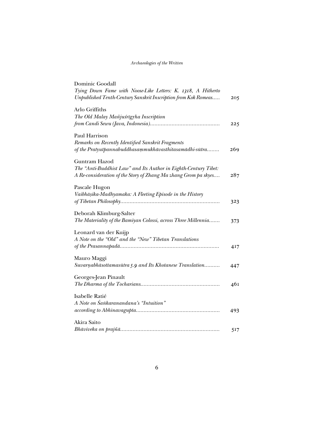### *Archaeologies of the Written*

| Dominic Goodall<br>Tying Down Fame with Noose-Like Letters: K. 1318, A Hitherto<br>Unpublished Tenth-Century Sanskrit Inscription from Kok Romeas   | 205 |
|-----------------------------------------------------------------------------------------------------------------------------------------------------|-----|
| Arlo Griffiths<br>The Old Malay Mañjuśrīgyha Inscription                                                                                            | 225 |
| Paul Harrison<br>Remarks on Recently Identified Sanskrit Fragments<br>of the Pratyutpannabuddhasammukhāvasthitasamādhi-sūtra                        | 269 |
| Guntram Hazod<br>The "Anti-Buddhist Law" and Its Author in Eighth-Century Tibet:<br>A Re-consideration of the Story of Zhang Ma zhang Grom pa skyes | 287 |
| Pascale Hugon<br>Vaibhāṣika-Madhyamaka: A Fleeting Episode in the History                                                                           | 323 |
| Deborah Klimburg-Salter<br>The Materiality of the Bamiyan Colossi, across Three Millennia                                                           | 373 |
| Leonard van der Kuijp<br>A Note on the "Old" and the "New" Tibetan Translations                                                                     | 417 |
| Mauro Maggi<br>Suvarnabhāsottamasūtra 5.9 and Its Khotanese Translation                                                                             | 447 |
| Georges-Jean Pinault                                                                                                                                | 461 |
| Isabelle Ratié<br>A Note on Śankaranandana's "Intuition"                                                                                            | 493 |
| Akira Saito                                                                                                                                         | 517 |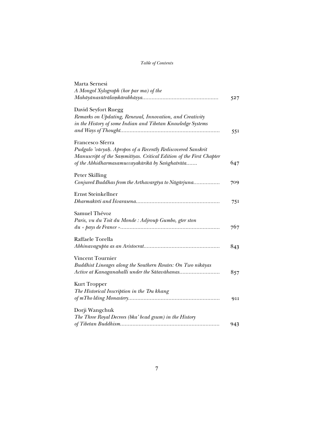### *Table of Contents*

| Marta Sernesi                                                       |     |
|---------------------------------------------------------------------|-----|
| A Mongol Xylograph (hor par ma) of the                              |     |
|                                                                     | 527 |
| David Seyfort Ruegg                                                 |     |
| Remarks on Updating, Renewal, Innovation, and Creativity            |     |
| in the History of some Indian and Tibetan Knowledge Systems         |     |
|                                                                     | 551 |
| Francesco Sferra                                                    |     |
| Pudgalo 'vācyaḥ. Apropos of a Recently Rediscovered Sanskrit        |     |
| Manuscript of the Sammitīyas. Critical Edition of the First Chapter |     |
| of the Abhidharmasamuccayakārikā by Sanghatrāta                     | 647 |
| Peter Skilling                                                      |     |
| Conjured Buddhas from the Arthavargiya to Nāgārjuna                 | 709 |
| <b>Ernst Steinkellner</b>                                           |     |
|                                                                     | 751 |
| Samuel Thévoz                                                       |     |
| Paris, vu du Toit du Monde : Adjroup Gumbo, gter ston               |     |
|                                                                     | 767 |
| Raffaele Torella                                                    |     |
|                                                                     | 843 |
| <b>Vincent Tournier</b>                                             |     |
| Buddhist Lineages along the Southern Routes: On Two nikāyas         |     |
|                                                                     | 857 |
|                                                                     |     |
| <b>Kurt Tropper</b>                                                 |     |
| The Historical Inscription in the 'Du khang                         |     |
|                                                                     | 911 |
| Dorji Wangchuk                                                      |     |
| The Three Royal Decrees (bka' bcad gsum) in the History             |     |
|                                                                     | 943 |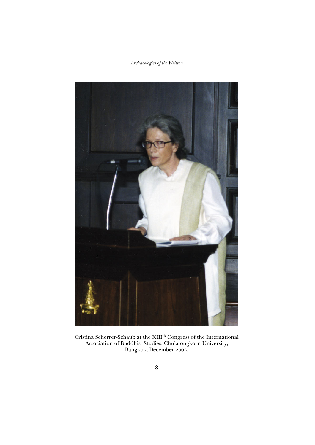### *Archaeologies of the Written*



Cristina Scherrer-Schaub at the XIII<sup>th</sup> Congress of the International Association of Buddhist Studies, Chulalongkorn University, Bangkok, December 2002.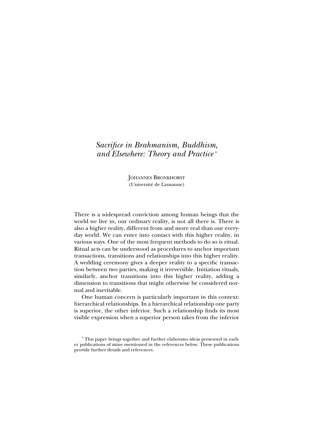## *Sacrifice in Brahmanism, Buddhism, and Elsewhere: Theory and Practice* \*

JOHANNES BRONKHORST (Université de Lausanne)

There is a widespread conviction among human beings that the world we live in, our ordinary reality, is not all there is. There is also a higher reality, different from and more real than our everyday world. We can enter into contact with this higher reality, in various ways. One of the most frequent methods to do so is ritual. Ritual acts can be understood as procedures to anchor important transactions, transitions and relationships into this higher reality. A wedding ceremony gives a deeper reality to a specific transaction between two parties, making it irreversible. Initiation rituals, similarly, anchor transitions into this higher reality, adding a dimension to transitions that might otherwise be considered normal and inevitable.

One human concern is particularly important in this context: hierarchical relationships. In a hierarchical relationship one party is superior, the other inferior. Such a relationship finds its most visible expression when a superior person takes from the inferior

<sup>\*</sup> This paper brings together and further elaborates ideas presented in earlier publications of mine mentioned in the references below. These publications provide further details and references.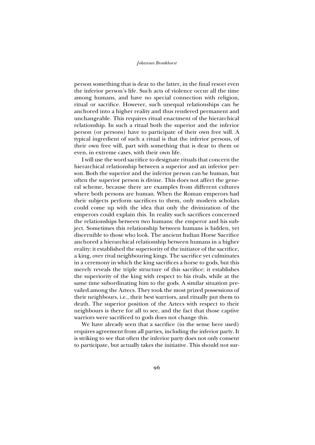#### *Johannes Bronkhorst*

person something that is dear to the latter, in the final resort even the inferior person's life. Such acts of violence occur all the time among humans, and have no special connection with religion, ritual or sacrifice. However, such unequal relationships can be anchored into a higher reality and thus rendered permanent and unchangeable. This requires ritual enactment of the hierarchical relationship. In such a ritual both the superior and the inferior person (or persons) have to participate of their own free will. A typical ingredient of such a ritual is that the inferior persons, of their own free will, part with something that is dear to them or even, in extreme cases, with their own life.

I will use the word sacrifice to designate rituals that concern the hierarchical relationship between a superior and an inferior person. Both the superior and the inferior person can be human, but often the superior person is divine. This does not affect the general scheme, because there are examples from different cultures where both persons are human. When the Roman emperors had their subjects perform sacrifices to them, only modern scholars could come up with the idea that only the divinization of the emperors could explain this. In reality such sacrifices concerned the relationships between two humans: the emperor and his subject. Sometimes this relationship between humans is hidden, yet discernible to those who look. The ancient Indian Horse Sacrifice anchored a hierarchical relationship between humans in a higher reality: it established the superiority of the initiator of the sacrifice, a king, over rival neighbouring kings. The sacrifice yet culminates in a ceremony in which the king sacrifices a horse to gods, but this merely reveals the triple structure of this sacrifice: it establishes the superiority of the king with respect to his rivals, while at the same time subordinating him to the gods. A similar situation prevailed among the Aztecs. They took the most prized possessions of their neighbours, i.e., their best warriors, and ritually put them to death. The superior position of the Aztecs with respect to their neighbours is there for all to see, and the fact that those captive warriors were sacrificed to gods does not change this.

We have already seen that a sacrifice (in the sense here used) requires agreement from all parties, including the inferior party. It is striking to see that often the inferior party does not only consent to participate, but actually takes the initiative. This should not sur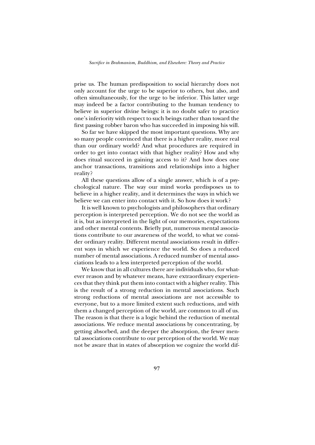prise us. The human predisposition to social hierarchy does not only account for the urge to be superior to others, but also, and often simultaneously, for the urge to be inferior. This latter urge may indeed be a factor contributing to the human tendency to believe in superior divine beings: it is no doubt safer to practice one's inferiority with respect to such beings rather than toward the first passing robber baron who has succeeded in imposing his will.

So far we have skipped the most important questions. Why are so many people convinced that there is a higher reality, more real than our ordinary world? And what procedures are required in order to get into contact with that higher reality? How and why does ritual succeed in gaining access to it? And how does one anchor transactions, transitions and relationships into a higher reality?

All these questions allow of a single answer, which is of a psychological nature. The way our mind works predisposes us to believe in a higher reality, and it determines the ways in which we believe we can enter into contact with it. So how does it work?

It is well known to psychologists and philosophers that ordinary perception is interpreted perception. We do not see the world as it is, but as interpreted in the light of our memories, expectations and other mental contents. Briefly put, numerous mental associations contribute to our awareness of the world, to what we consider ordinary reality. Different mental associations result in differ ent ways in which we experience the world. So does a reduced number of mental associations. A reduced number of mental associations leads to a less interpreted perception of the world.

We know that in all cultures there are individuals who, for whatever reason and by whatever means, have extraordinary experiences that they think put them into contact with a higher reality. This is the result of a strong reduction in mental associations. Such strong reductions of mental associations are not accessible to every one, but to a more limited extent such reductions, and with them a changed perception of the world, are common to all of us. The reason is that there is a logic behind the reduction of mental associations. We reduce mental associations by concentrating, by getting absorbed, and the deeper the absorption, the fewer mental associations contribute to our perception of the world. We may not be aware that in states of absorption we cognize the world dif-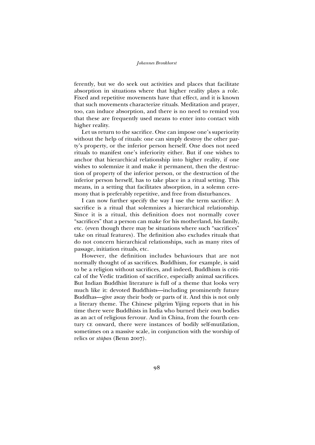#### *Johannes Bronkhorst*

ferently, but we do seek out activities and places that facilitate absorption in situations where that higher reality plays a role. Fixed and repetitive movements have that effect, and it is known that such movements characterize rituals. Meditation and prayer, too, can induce absorption, and there is no need to remind you that these are frequently used means to enter into contact with higher reality.

Let us return to the sacrifice. One can impose one's superiority without the help of rituals: one can simply destroy the other party's property, or the inferior person herself. One does not need rituals to manifest one's inferiority either. But if one wishes to anchor that hierarchical relationship into higher reality, if one wishes to solemnize it and make it permanent, then the destruction of property of the inferior person, or the destruction of the inferior person herself, has to take place in a ritual setting. This means, in a setting that facilitates absorption, in a solemn ceremony that is preferably repetitive, and free from disturbances.

I can now further specify the way I use the term sacrifice: A sacrifice is a ritual that solemnizes a hierarchical relationship. Since it is a ritual, this definition does not normally cover "sacrifices" that a person can make for his motherland, his family, etc. (even though there may be situations where such "sacrifices" take on ritual features). The definition also excludes rituals that do not concern hierarchical relationships, such as many rites of passage, initiation rituals, etc.

However, the definition includes behaviours that are not normally thought of as sacrifices. Buddhism, for example, is said to be a religion without sacrifices, and indeed, Buddhism is critical of the Vedic tradition of sacrifice, especially animal sacrifices. But Indian Buddhist literature is full of a theme that looks very much like it: devoted Buddhists—including prominently future Buddhas—give away their body or parts of it. And this is not only a literary theme. The Chinese pilgrim Yijing reports that in his time there were Buddhists in India who burned their own bodies as an act of religious fervour. And in China, from the fourth century CE onward, there were instances of bodily self-mutilation, sometimes on a massive scale, in conjunction with the worship of relics or *stūpa*s (Benn 2007).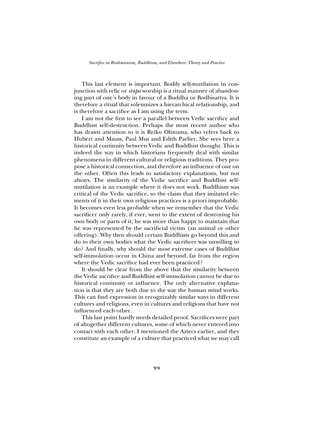This last element is important. Bodily self-mutilation in conjunction with relic or *stūpa* worship is a ritual manner of abandoning part of one's body in favour of a Buddha or Bodhisattva. It is there fore a ritual that solemnizes a hierarchical relationship, and is therefore a sacrifice as I am using the term.

I am not the first to see a parallel between Vedic sacrifice and Buddhist self-destruction. Perhaps the most recent author who has drawn attention to it is Reiko Ohnuma, who refers back to Hubert and Mauss, Paul Mus and Edith Parlier. She sees here a historical continuity between Vedic and Buddhist thought. This is indeed the way in which historians frequently deal with similar phenomena in different cultural or religious traditions. They propose a historical connection, and therefore an influence of one on the other. Often this leads to satisfactory explanations, but not always. The similarity of the Vedic sacrifice and Buddhist selfmutilation is an example where it does not work. Buddhism was critical of the Vedic sacrifice, so the claim that they imitated elements of it in their own religious practices is a priori improbable. It becomes even less probable when we remember that the Vedic sacrificer only rarely, if ever, went to the extent of destroying his own body or parts of it; he was more than happy to maintain that he was represented by the sacrificial victim (an animal or other offering). Why then should certain Buddhists go beyond this and do to their own bodies what the Vedic sacrificer was unwilling to do? And finally, why should the most extreme cases of Buddhist self-immolation occur in China and beyond, far from the region where the Vedic sacrifice had ever been practiced?

It should be clear from the above that the similarity between the Vedic sacrifice and Buddhist self-immolation cannot be due to historical continuity or influence. The only alternative explanation is that they are both due to the way the human mind works. This can find expression in recognizably similar ways in different cultures and religions, even in cultures and religions that have not influenced each other.

This last point hardly needs detailed proof. Sacrifices were part of altogether different cultures, some of which never entered into contact with each other. I mentioned the Aztecs earlier, and they constitute an example of a culture that practiced what we may call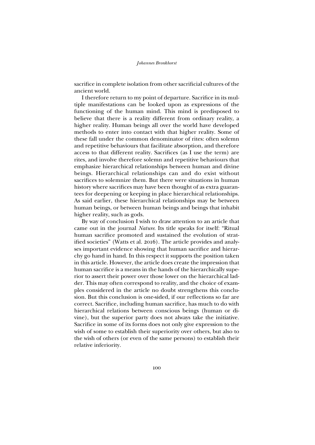#### *Johannes Bronkhorst*

sacrifice in complete isolation from other sacrificial cultures of the ancient world.

I therefore return to my point of departure. Sacrifice in its multiple manifestations can be looked upon as expressions of the functioning of the human mind. This mind is predisposed to believe that there is a reality different from ordinary reality, a higher reality. Human beings all over the world have developed methods to enter into contact with that higher reality. Some of these fall under the common denominator of rites: often solemn and repetitive behaviours that facilitate absorption, and therefore access to that different reality. Sacrifices (as I use the term) are rites, and involve therefore solemn and repetitive behaviours that emphasize hierarchical relationships between human and divine beings. Hierarchical relationships can and do exist without sacrifices to solemnize them. But there were situations in human history where sacrifices may have been thought of as extra guarantees for deepening or keeping in place hierarchical relationships. As said earlier, these hierarchical relationships may be between human beings, or between human beings and beings that inhabit higher reality, such as gods.

By way of conclusion I wish to draw attention to an article that came out in the journal *Nature*. Its title speaks for itself: "Ritual human sacrifice promoted and sustained the evolution of stratified societies" (Watts et al. 2016). The article provides and analyses important evidence showing that human sacrifice and hierarchy go hand in hand. In this respect it supports the position taken in this article. However, the article does create the impression that human sacrifice is a means in the hands of the hierarchically superior to assert their power over those lower on the hierarchical ladder. This may often correspond to reality, and the choice of examples considered in the article no doubt strengthens this conclusion. But this conclusion is one-sided, if our reflections so far are correct. Sacrifice, including human sacrifice, has much to do with hierarchical relations between conscious beings (human or divine), but the superior party does not always take the initiative. Sacrifice in some of its forms does not only give expression to the wish of some to establish their superiority over others, but also to the wish of others (or even of the same persons) to establish their relative inferiority.